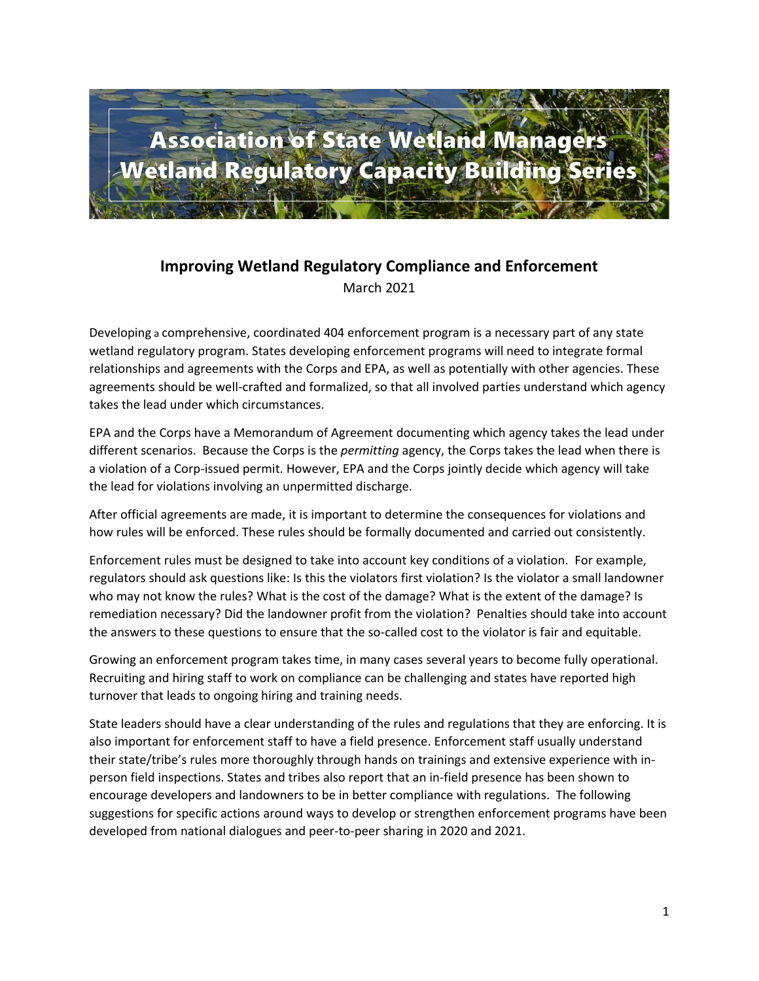

## **Improving Wetland Regulatory Compliance and Enforcement** March 2021

Developing a comprehensive, coordinated 404 enforcement program is a necessary part of any state wetland regulatory program. States developing enforcement programs will need to integrate formal relationships and agreements with the Corps and EPA, as well as potentially with other agencies. These agreements should be well-crafted and formalized, so that all involved parties understand which agency takes the lead under which circumstances.

EPA and the Corps have a Memorandum of Agreement documenting which agency takes the lead under different scenarios. Because the Corps is the *permitting* agency, the Corps takes the lead when there is a violation of a Corp-issued permit. However, EPA and the Corps jointly decide which agency will take the lead for violations involving an unpermitted discharge.

After official agreements are made, it is important to determine the consequences for violations and how rules will be enforced. These rules should be formally documented and carried out consistently.

Enforcement rules must be designed to take into account key conditions of a violation. For example, regulators should ask questions like: Is this the violators first violation? Is the violator a small landowner who may not know the rules? What is the cost of the damage? What is the extent of the damage? Is remediation necessary? Did the landowner profit from the violation? Penalties should take into account the answers to these questions to ensure that the so-called cost to the violator is fair and equitable.

Growing an enforcement program takes time, in many cases several years to become fully operational. Recruiting and hiring staff to work on compliance can be challenging and states have reported high turnover that leads to ongoing hiring and training needs.

State leaders should have a clear understanding of the rules and regulations that they are enforcing. It is also important for enforcement staff to have a field presence. Enforcement staff usually understand their state/tribe's rules more thoroughly through hands on trainings and extensive experience with inperson field inspections. States and tribes also report that an in-field presence has been shown to encourage developers and landowners to be in better compliance with regulations. The following suggestions for specific actions around ways to develop or strengthen enforcement programs have been developed from national dialogues and peer-to-peer sharing in 2020 and 2021.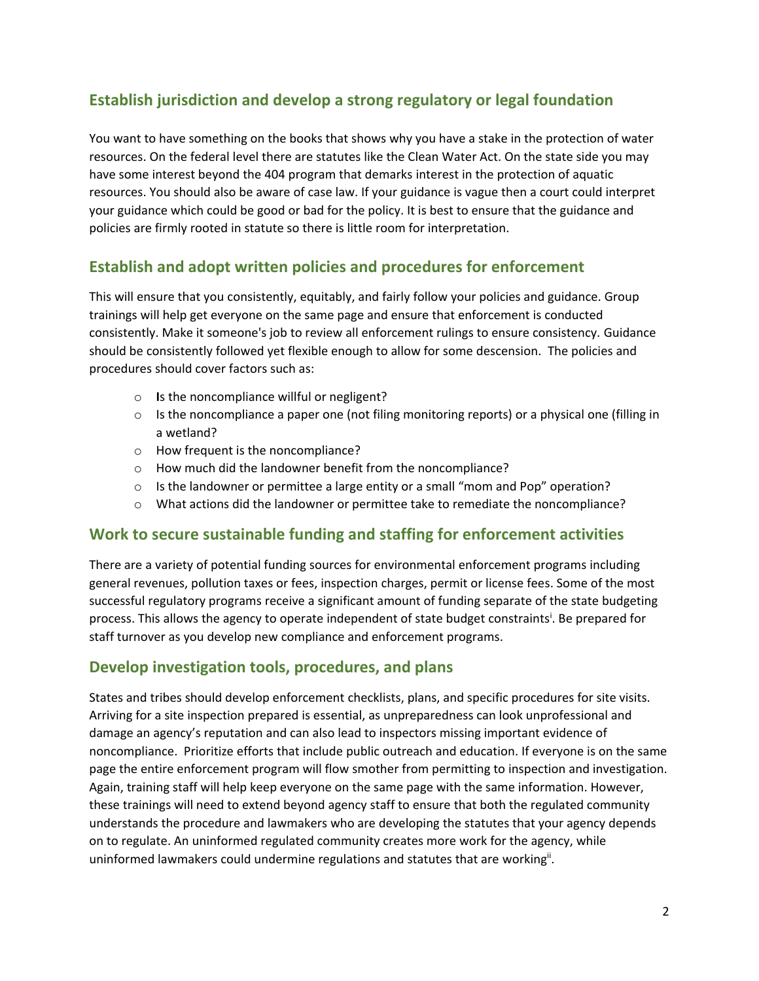# **Establish jurisdiction and develop a strong regulatory or legal foundation**

You want to have something on the books that shows why you have a stake in the protection of water resources. On the federal level there are statutes like the Clean Water Act. On the state side you may have some interest beyond the 404 program that demarks interest in the protection of aquatic resources. You should also be aware of case law. If your guidance is vague then a court could interpret your guidance which could be good or bad for the policy. It is best to ensure that the guidance and policies are firmly rooted in statute so there is little room for interpretation.

## **Establish and adopt written policies and procedures for enforcement**

This will ensure that you consistently, equitably, and fairly follow your policies and guidance. Group trainings will help get everyone on the same page and ensure that enforcement is conducted consistently. Make it someone's job to review all enforcement rulings to ensure consistency. Guidance should be consistently followed yet flexible enough to allow for some descension. The policies and procedures should cover factors such as:

- o **I**s the noncompliance willful or negligent?
- $\circ$  Is the noncompliance a paper one (not filing monitoring reports) or a physical one (filling in a wetland?
- o How frequent is the noncompliance?
- o How much did the landowner benefit from the noncompliance?
- $\circ$  Is the landowner or permittee a large entity or a small "mom and Pop" operation?
- o What actions did the landowner or permittee take to remediate the noncompliance?

#### **Work to secure sustainable funding and staffing for enforcement activities**

There are a variety of potential funding sources for environmental enforcement programs including general revenues, pollution taxes or fees, inspection charges, permit or license fees. Some of the most successful regulatory programs receive a significant amount of funding separate of the state budgeting process. This allows the agency to operate independent of state budget constraints<sup>i</sup>. Be prepared for staff turnover as you develop new compliance and enforcement programs.

## **Develop investigation tools, procedures, and plans**

States and tribes should develop enforcement checklists, plans, and specific procedures for site visits. Arriving for a site inspection prepared is essential, as unpreparedness can look unprofessional and damage an agency's reputation and can also lead to inspectors missing important evidence of noncompliance. Prioritize efforts that include public outreach and education. If everyone is on the same page the entire enforcement program will flow smother from permitting to inspection and investigation. Again, training staff will help keep everyone on the same page with the same information. However, these trainings will need to extend beyond agency staff to ensure that both the regulated community understands the procedure and lawmakers who are developing the statutes that your agency depends on to regulate. An uninformed regulated community creates more work for the agency, while uninformed lawmakers could undermine regulations and statutes that are working<sup>ii</sup>.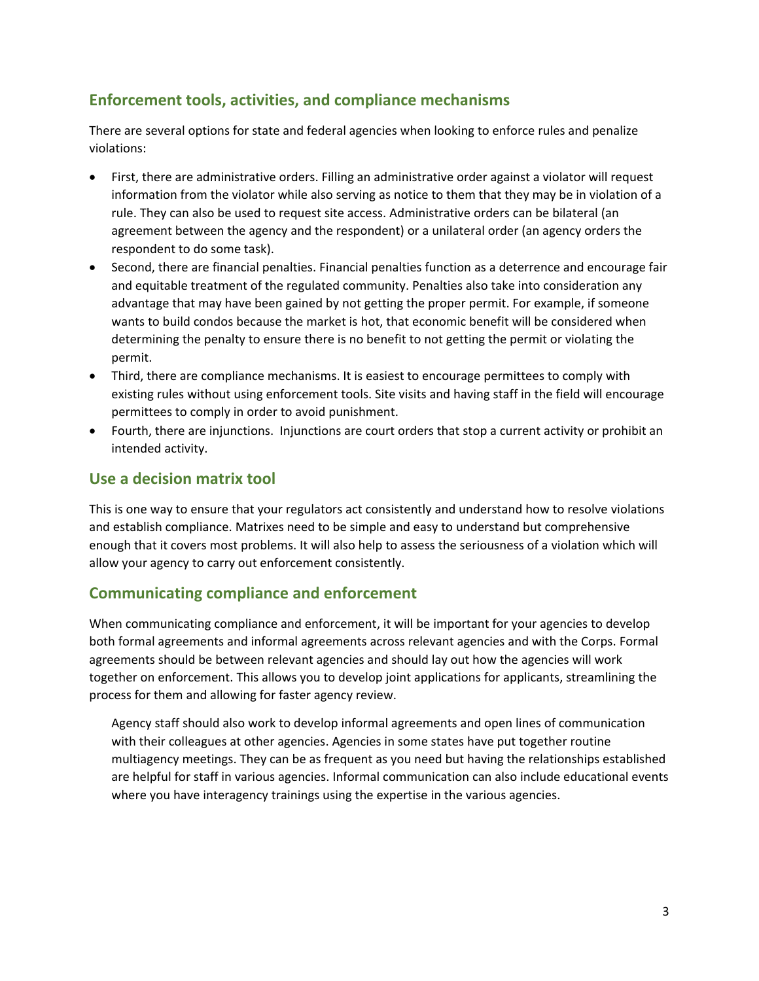## **Enforcement tools, activities, and compliance mechanisms**

There are several options for state and federal agencies when looking to enforce rules and penalize violations:

- First, there are administrative orders. Filling an administrative order against a violator will request information from the violator while also serving as notice to them that they may be in violation of a rule. They can also be used to request site access. Administrative orders can be bilateral (an agreement between the agency and the respondent) or a unilateral order (an agency orders the respondent to do some task).
- Second, there are financial penalties. Financial penalties function as a deterrence and encourage fair and equitable treatment of the regulated community. Penalties also take into consideration any advantage that may have been gained by not getting the proper permit. For example, if someone wants to build condos because the market is hot, that economic benefit will be considered when determining the penalty to ensure there is no benefit to not getting the permit or violating the permit.
- Third, there are compliance mechanisms. It is easiest to encourage permittees to comply with existing rules without using enforcement tools. Site visits and having staff in the field will encourage permittees to comply in order to avoid punishment.
- Fourth, there are injunctions. Injunctions are court orders that stop a current activity or prohibit an intended activity.

## **Use a decision matrix tool**

This is one way to ensure that your regulators act consistently and understand how to resolve violations and establish compliance. Matrixes need to be simple and easy to understand but comprehensive enough that it covers most problems. It will also help to assess the seriousness of a violation which will allow your agency to carry out enforcement consistently.

## **Communicating compliance and enforcement**

When communicating compliance and enforcement, it will be important for your agencies to develop both formal agreements and informal agreements across relevant agencies and with the Corps. Formal agreements should be between relevant agencies and should lay out how the agencies will work together on enforcement. This allows you to develop joint applications for applicants, streamlining the process for them and allowing for faster agency review.

Agency staff should also work to develop informal agreements and open lines of communication with their colleagues at other agencies. Agencies in some states have put together routine multiagency meetings. They can be as frequent as you need but having the relationships established are helpful for staff in various agencies. Informal communication can also include educational events where you have interagency trainings using the expertise in the various agencies.